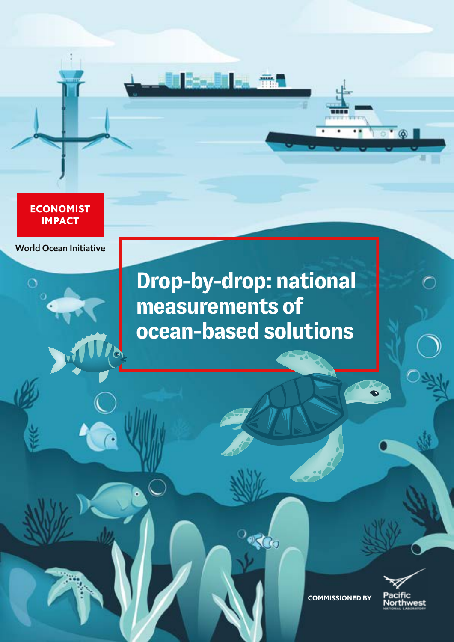

World Ocean Initiative

**VIA** 

 $\circ$ 

### **Drop-by-drop: national measurements of ocean-based solutions**

RGo

Lisall a m



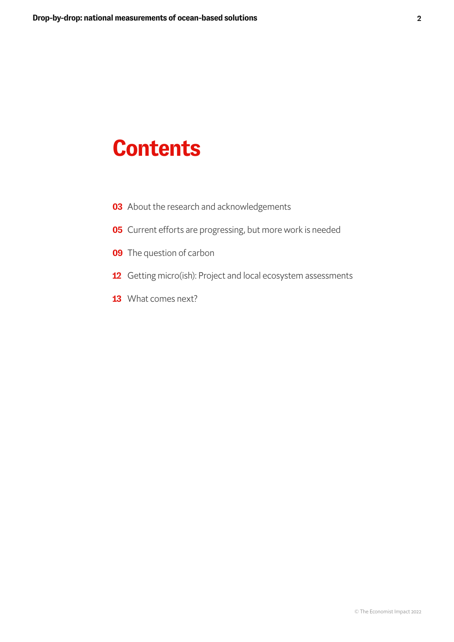### **Contents**

- About the research and acknowledgements
- Current efforts are progressing, but more work is needed
- The question of carbon
- Getting micro(ish): Project and local ecosystem assessments
- What comes next?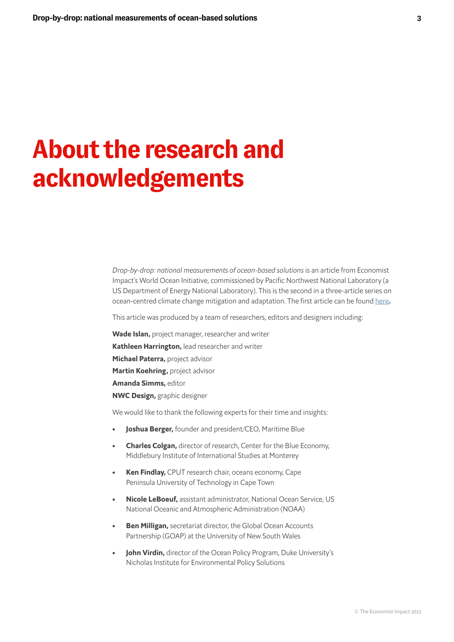# **About the research and acknowledgements**

*Drop-by-drop: national measurements of ocean-based solutions* is an article from Economist Impact's World Ocean Initiative, commissioned by Pacific Northwest National Laboratory (a US Department of Energy National Laboratory). This is the second in a three-article series on ocean-centred climate change mitigation and adaptation. The first article can be found [here](https://ocean.economist.com/innovation/articles/checking-in-on-ocean-basedclimate-solutions).

This article was produced by a team of researchers, editors and designers including:

Wade Islan, project manager, researcher and writer Kathleen Harrington, lead researcher and writer Michael Paterra, project advisor Martin Koehring, project advisor Amanda Simms, editor NWC Design, graphic designer

We would like to thank the following experts for their time and insights:

- Joshua Berger, founder and president/CEO, Maritime Blue
- Charles Colgan, director of research, Center for the Blue Economy, Middlebury Institute of International Studies at Monterey
- Ken Findlay, CPUT research chair, oceans economy, Cape Peninsula University of Technology in Cape Town
- Nicole LeBoeuf, assistant administrator, National Ocean Service, US National Oceanic and Atmospheric Administration (NOAA)
- **Ben Milligan, secretariat director, the Global Ocean Accounts** Partnership (GOAP) at the University of New South Wales
- John Virdin, director of the Ocean Policy Program, Duke University's Nicholas Institute for Environmental Policy Solutions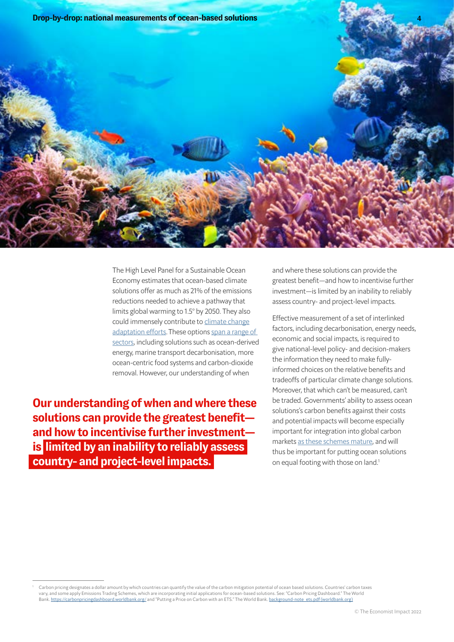

The High Level Panel for a Sustainable Ocean Economy estimates that ocean-based climate solutions offer as much as 21% of the emissions reductions needed to achieve a pathway that limits global warming to 1.5° by 2050. They also could immensely contribute to [climate change](https://oceanpanel.org/sites/default/files/2019-10/HLP_Report_Ocean_Solution_Climate_Change_final.pdf) [adaptation efforts.](https://oceanpanel.org/sites/default/files/2019-10/HLP_Report_Ocean_Solution_Climate_Change_final.pdf)These options [span a range of](https://ocean.economist.com/innovation/articles/checking-in-on-ocean-basedclimate-solutions)  [sectors](https://ocean.economist.com/innovation/articles/checking-in-on-ocean-basedclimate-solutions), including solutions such as ocean-derived energy, marine transport decarbonisation, more ocean-centric food systems and carbon-dioxide removal. However, our understanding of when

**Our understanding of when and where these solutions can provide the greatest benefit and how to incentivise further investment is limited by an inability to reliably assess country- and project-level impacts.**

and where these solutions can provide the greatest benefit—and how to incentivise further investment—is limited by an inability to reliably assess country- and project-level impacts.

Effective measurement of a set of interlinked factors, including decarbonisation, energy needs, economic and social impacts, is required to give national-level policy- and decision-makers the information they need to make fullyinformed choices on the relative benefits and tradeoffs of particular climate change solutions. Moreover, that which can't be measured, can't be traded. Governments' ability to assess ocean solutions's carbon benefits against their costs and potential impacts will become especially important for integration into global carbon markets [as these schemes mature](https://www.spglobal.com/platts/en/market-insights/latest-news/energy-transition/111721-paris-accord-article-6-approval-set-to-jump-start-evolution-of-voluntary-carbon-market), and will thus be important for putting ocean solutions on equal footing with those on land.<sup>1</sup>

Carbon pricing designates a dollar amount by which countries can quantify the value of the carbon mitigation potential of ocean based solutions. Countries' carbon taxes vary, and some apply Emissions Trading Schemes, which are incorporating initial applications for ocean-based solutions. See: "Carbon Pricing Dashboard." The World Bank. <https://carbonpricingdashboard.worldbank.org/>and "Putting a Price on Carbon with an ETS." The World Bank. [background-note\\_ets.pdf \(worldbank.org\)](https://www.worldbank.org/content/dam/Worldbank/document/Climate/background-note_ets.pdf)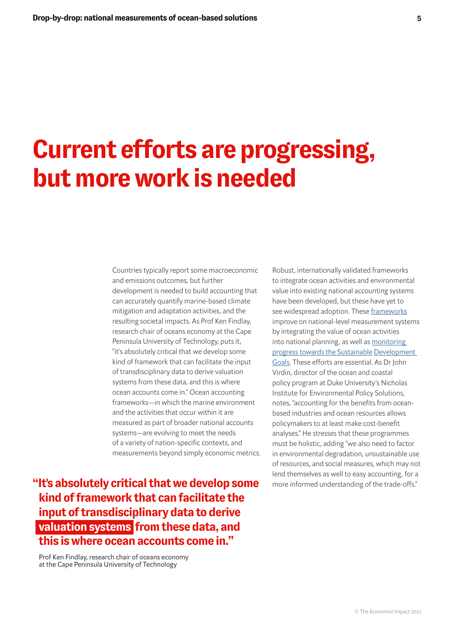# **Current efforts are progressing, but more work is needed**

Countries typically report some macroeconomic and emissions outcomes, but further development is needed to build accounting that can accurately quantify marine-based climate mitigation and adaptation activities, and the resulting societal impacts. As Prof Ken Findlay, research chair of oceans economy at the Cape Peninsula University of Technology, puts it, "it's absolutely critical that we develop some kind of framework that can facilitate the input of transdisciplinary data to derive valuation systems from these data, and this is where ocean accounts come in." Ocean accounting frameworks—in which the marine environment and the activities that occur within it are measured as part of broader national accounts systems—are evolving to meet the needs of a variety of nation-specific contexts, and measurements beyond simply economic metrics.

**"It's absolutely critical that we develop some** more informed understanding of the trade-offs." **kind of framework that can facilitate the input of transdisciplinary data to derive valuation systems from these data, and this is where ocean accounts come in."**

Prof Ken Findlay, research chair of oceans economy at the Cape Peninsula University of Technology

Robust, internationally validated frameworks to integrate ocean activities and environmental value into existing national accounting systems have been developed, but these have yet to see widespread adoption. These [frameworks](https://ipbes.net/policy-support/tools-instruments/system-environmental-economic-accounting?page=7) improve on national-level measurement systems by integrating the value of ocean activities into national planning, as well as [monitoring](https://oneecosystem.pensoft.net/article/29306/)  [progress towards the Sustainable](https://oneecosystem.pensoft.net/article/29306/) Development [Goals.](https://oneecosystem.pensoft.net/article/29306/) These efforts are essential. As Dr John Virdin, director of the ocean and coastal policy program at Duke University's Nicholas Institute for Environmental Policy Solutions, notes, "accounting for the benefits from oceanbased industries and ocean resources allows policymakers to at least make cost-benefit analyses." He stresses that these programmes must be holistic, adding "we also need to factor in environmental degradation, unsustainable use of resources, and social measures, which may not lend themselves as well to easy accounting, for a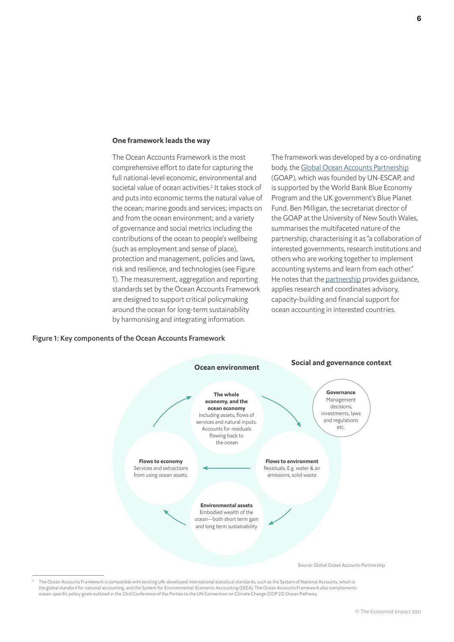#### One framework leads the way

The Ocean Accounts Framework is the most comprehensive effort to date for capturing the full national-level economic, environmental and societal value of ocean activities.<sup>2</sup> It takes stock of and puts into economic terms the natural value of the ocean; marine goods and services; impacts on and from the ocean environment; and a variety of governance and social metrics including the contributions of the ocean to people's wellbeing (such as employment and sense of place), protection and management, policies and laws, risk and resilience, and technologies (see Figure 1). The measurement, aggregation and reporting standards set by the Ocean Accounts Framework are designed to support critical policymaking around the ocean for long-term sustainability by harmonising and integrating information.

The framework was developed by a co-ordinating body, the [Global Ocean Accounts Partnership](http://Global Ocean Accounts Partnership) (GOAP), which was founded by UN-ESCAP, and is supported by the World Bank Blue Economy Program and the UK government's Blue Planet Fund. Ben Milligan, the secretariat director of the GOAP at the University of New South Wales, summarises the multifaceted nature of the partnership, characterising it as "a collaboration of interested governments, research institutions and others who are working together to implement accounting systems and learn from each other." He notes that the [partnership](https://www.oceanaccounts.org/ecosystem-accounting-for-the-ocean/) provides guidance, applies research and coordinates advisory, capacity-building and financial support for ocean accounting in interested countries.

#### Figure 1: Key components of the Ocean Accounts Framework



Source: Global Ocean Accounts Partnership

The Ocean Accounts Framework is compatible with existing UN-developed international statistical standards, such as the System of National Accounts, which is the global standard for national accounting, and the System for Environmental-Economic Accounting (SEEA). The Ocean Accounts Framework also complements ocean-specific policy goals outlined in the 23rd Conference of the Parties to the UN Convention on Climate Change (COP 23) Ocean Pathway.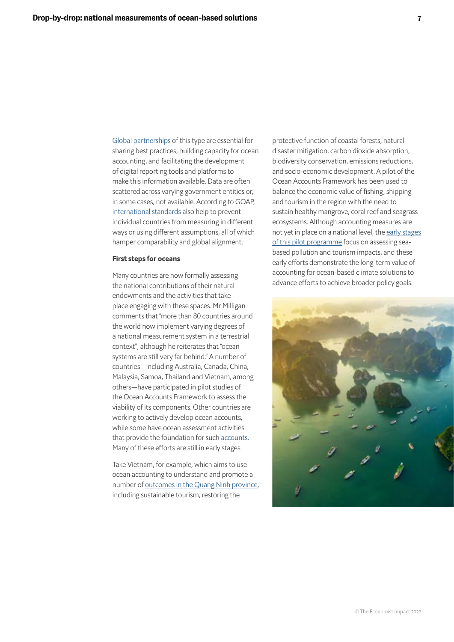[Global partnerships](https://www.oceanaccounts.org/technical-guidance-on-ocean-accounting-2) of this type are essential for sharing best practices, building capacity for ocean accounting, and facilitating the development of digital reporting tools and platforms to make this information available. Data are often scattered across varying government entities or, in some cases, not available. According to GOAP, [international standards](https://oceanaccounts.atlassian.net/wiki/spaces/DTGOOA/pages/35061870/1.+Introduction+to+Ocean+Accounts#1.5.1-The-scientific-rationale-for-Ocean-Accounts) also help to prevent individual countries from measuring in different ways or using different assumptions, all of which hamper comparability and global alignment.

#### First steps for oceans

Many countries are now formally assessing the national contributions of their natural endowments and the activities that take place engaging with these spaces. Mr Milligan comments that "more than 80 countries around the world now implement varying degrees of a national measurement system in a terrestrial context", although he reiterates that "ocean systems are still very far behind." A number of countries—including Australia, Canada, China, Malaysia, Samoa, Thailand and Vietnam, among others—have participated in pilot studies of the Ocean Accounts Framework to assess the viability of its components. Other countries are working to actively develop ocean accounts, while some have ocean assessment activities that provide the foundation for such [accounts.](https://www.wavespartnership.org/sites/waves/files/documents/Global%20Ocean%20Accounts%20Partnership.pdf) Many of these efforts are still in early stages.

Take Vietnam, for example, which aims to use ocean accounting to understand and promote a number of [outcomes in the Quang Ninh province,](https://unfccc.int/sites/default/files/resource/Viet%20Nam_BUR3.pdf) including sustainable tourism, restoring the

protective function of coastal forests, natural disaster mitigation, carbon dioxide absorption, biodiversity conservation, emissions reductions, and socio-economic development. A pilot of the Ocean Accounts Framework has been used to balance the economic value of fishing, shipping and tourism in the region with the need to sustain healthy mangrove, coral reef and seagrass ecosystems. Although accounting measures are not yet in place on a national level, the [early stages](https://www.oceanaccounts.org/asia-pacific-community-of-practice)  [of this pilot programme](https://www.oceanaccounts.org/asia-pacific-community-of-practice) focus on assessing seabased pollution and tourism impacts, and these early efforts demonstrate the long-term value of accounting for ocean-based climate solutions to advance efforts to achieve broader policy goals.

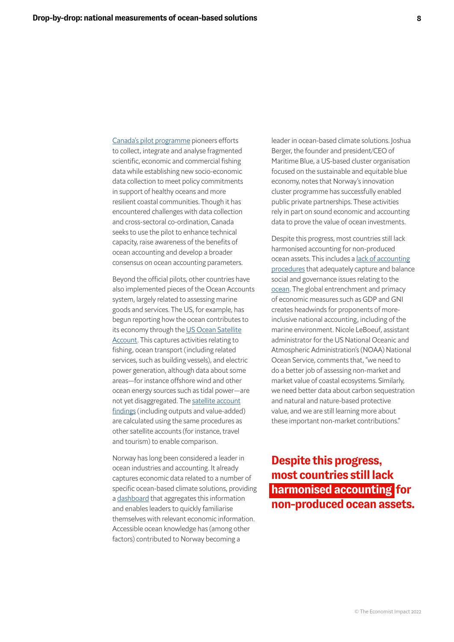[Canada's pilot programme](https://www.oceanaccounts.org/canadian-ocean-accounts-pilot/) pioneers efforts to collect, integrate and analyse fragmented scientific, economic and commercial fishing data while establishing new socio-economic data collection to meet policy commitments in support of healthy oceans and more resilient coastal communities. Though it has encountered challenges with data collection and cross-sectoral co-ordination, Canada seeks to use the pilot to enhance technical capacity, raise awareness of the benefits of ocean accounting and develop a broader consensus on ocean accounting parameters.

Beyond the official pilots, other countries have also implemented pieces of the Ocean Accounts system, largely related to assessing marine goods and services. The US, for example, has begun reporting how the ocean contributes to its economy through the [US Ocean Satellite](https://coast.noaa.gov/data/digitalcoast/pdf/oesa.pdf) [Account](https://coast.noaa.gov/data/digitalcoast/pdf/oesa.pdf). This captures activities relating to fishing, ocean transport (including related services, such as building vessels), and electric power generation, although data about some areas—for instance offshore wind and other ocean energy sources such as tidal power—are not yet disaggregated. The [satellite account](https://doi.org/10.1787/aff5375b-en) [findings](https://doi.org/10.1787/aff5375b-en) (including outputs and value-added) are calculated using the same procedures as other satellite accounts (for instance, travel and tourism) to enable comparison.

Norway has long been considered a leader in ocean industries and accounting. It already captures economic data related to a number of specific ocean-based climate solutions, providing a [dashboard](https://oceanpanel.org/sites/default/files/2020-07/National%20Accounting%20for%20the%20Ocean%20and%20Ocean%20Economy%20Summary%20Final.pd) that aggregates this information and enables leaders to quickly familiarise themselves with relevant economic information. Accessible ocean knowledge has (among other factors) contributed to Norway becoming a

leader in ocean-based climate solutions. Joshua Berger, the founder and president/CEO of Maritime Blue, a US-based cluster organisation focused on the sustainable and equitable blue economy, notes that Norway's innovation cluster programme has successfully enabled public private partnerships. These activities rely in part on sound economic and accounting data to prove the value of ocean investments.

Despite this progress, most countries still lack harmonised accounting for non-produced ocean assets. This includes a [lack of accounting](https://ocean.economist.com/blue-finance/articles/the-wealth-of-oceans-new-research-highlights-importance-of-ocean-accounting) [procedures](https://ocean.economist.com/blue-finance/articles/the-wealth-of-oceans-new-research-highlights-importance-of-ocean-accounting) that adequately capture and balance social and governance issues relating to the [ocean.](https://www.oceanpanel.org/blue-papers/national-accounting-ocean-ocean-economy) The global entrenchment and primacy of economic measures such as GDP and GNI creates headwinds for proponents of moreinclusive national accounting, including of the marine environment. Nicole LeBoeuf, assistant administrator for the US National Oceanic and Atmospheric Administration's (NOAA) National Ocean Service, comments that, "we need to do a better job of assessing non-market and market value of coastal ecosystems. Similarly, we need better data about carbon sequestration and natural and nature-based protective value, and we are still learning more about these important non-market contributions."

**Despite this progress, most countries still lack harmonised accounting for non-produced ocean assets.**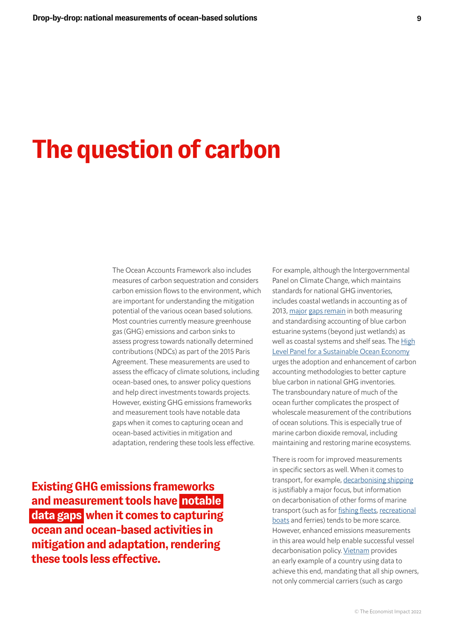# **The question of carbon**

The Ocean Accounts Framework also includes measures of carbon sequestration and considers carbon emission flows to the environment, which are important for understanding the mitigation potential of the various ocean based solutions. Most countries currently measure greenhouse gas (GHG) emissions and carbon sinks to assess progress towards nationally determined contributions (NDCs) as part of the 2015 Paris Agreement. These measurements are used to assess the efficacy of climate solutions, including ocean-based ones, to answer policy questions and help direct investments towards projects. However, existing GHG emissions frameworks and measurement tools have notable data gaps when it comes to capturing ocean and ocean-based activities in mitigation and adaptation, rendering these tools less effective.

**Existing GHG emissions frameworks and measurement tools have notable data gaps when it comes to capturing ocean and ocean-based activities in mitigation and adaptation, rendering these tools less effective.**

For example, although the Intergovernmental Panel on Climate Change, which maintains standards for national GHG inventories, includes coastal wetlands in accounting as of 2013, major [gaps remain](https://www.nature.com/articles/s41467-020-18242-w) in both measuring and standardising accounting of blue carbon estuarine systems (beyond just wetlands) as well as coastal systems and shelf seas. The [High](https://ocean.economist.com/innovation/articles/how-the-shipping-sector-is-decarbonising) [Level Panel for a Sustainable Ocean Economy](https://ocean.economist.com/innovation/articles/how-the-shipping-sector-is-decarbonising) urges the adoption and enhancement of carbon accounting methodologies to better capture blue carbon in national GHG inventories. The transboundary nature of much of the ocean further complicates the prospect of wholescale measurement of the contributions of ocean solutions. This is especially true of marine carbon dioxide removal, including maintaining and restoring marine ecosystems.

There is room for improved measurements in specific sectors as well. When it comes to transport, for example, [decarbonising](https://ocean.economist.com/innovation/articles/how-the-shipping-sector-is-decarbonising) shipping is justifiably a major focus, but information on decarbonisation of other forms of marine transport (such as for [fishing fleets,](https://www.nature.com/articles/s41558-018-0117-x) [recreational](https://prod-drupal-files.storage.googleapis.com/documents/resource/public/Roadmap-for-decarbonisation-vessels_v13.pdf) [boats](https://prod-drupal-files.storage.googleapis.com/documents/resource/public/Roadmap-for-decarbonisation-vessels_v13.pdf) and ferries) tends to be more scarce. However, enhanced emissions measurements in this area would help enable successful vessel decarbonisation policy. [Vietnam](https://unfccc.int/sites/default/files/resource/Viet%20Nam_BUR3.pdf) provides an early example of a country using data to achieve this end, mandating that all ship owners, not only commercial carriers (such as cargo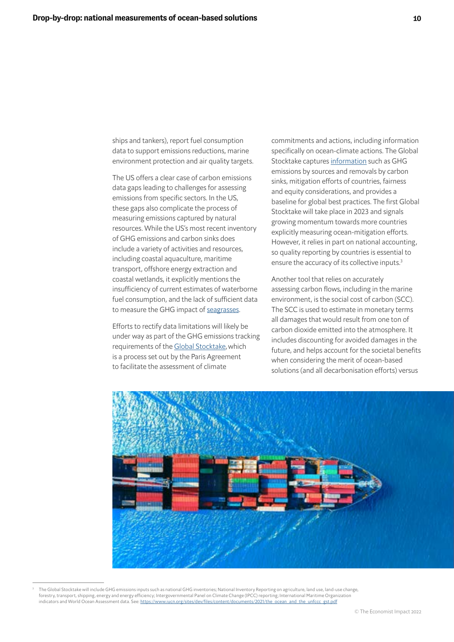ships and tankers), report fuel consumption data to support emissions reductions, marine environment protection and air quality targets.

The US offers a clear case of carbon emissions data gaps leading to challenges for assessing emissions from specific sectors. In the US, these gaps also complicate the process of measuring emissions captured by natural resources. While the US's most recent inventory of GHG emissions and carbon sinks does include a variety of activities and resources, including coastal aquaculture, maritime transport, offshore energy extraction and coastal wetlands, it explicitly mentions the insufficiency of current estimates of waterborne fuel consumption, and the lack of sufficient data to measure the GHG impact of [seagrasses](https://www.epa.gov/sites/default/files/2021-04/documents/us-ghg-inventory-2021-main-text.pdf).

Efforts to rectify data limitations will likely be under way as part of the GHG emissions tracking requirements of the [Global Stocktake,](https://unfccc.int/topics/global-stocktake)which is a process set out by the Paris Agreement to facilitate the assessment of climate

commitments and actions, including information specifically on ocean-climate actions. The Global Stocktake captures [information](https://www.iucn.org/sites/dev/files/content/documents/2021/the_ocean_and_the_unfccc_gst.pdf) such as GHG emissions by sources and removals by carbon sinks, mitigation efforts of countries, fairness and equity considerations, and provides a baseline for global best practices. The first Global Stocktake will take place in 2023 and signals growing momentum towards more countries explicitly measuring ocean-mitigation efforts. However, it relies in part on national accounting, so quality reporting by countries is essential to ensure the accuracy of its collective inputs.<sup>3</sup>

Another tool that relies on accurately assessing carbon flows, including in the marine environment, is the social cost of carbon (SCC). The SCC is used to estimate in monetary terms all damages that would result from one ton of carbon dioxide emitted into the atmosphere. It includes discounting for avoided damages in the future, and helps account for the societal benefits when considering the merit of ocean-based solutions (and all decarbonisation efforts) versus



<sup>3</sup> The Global Stocktake will include GHG emissions inputs such as national GHG inventories; National Inventory Reporting on agriculture, land use, land-use change, forestry, transport, shipping, energy and energy efficiency; Intergovernmental Panel on Climate Change (IPCC) reporting; International Maritime Organization<br>indicators and World Ocean Assessment data. See: <u>https://www.iuc</u>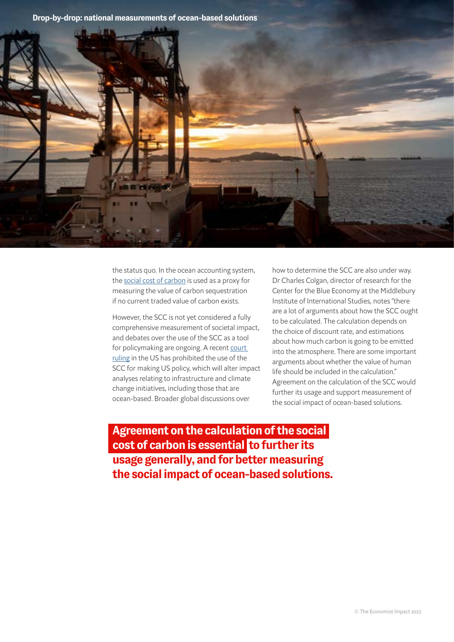**Drop-by-drop: national measurements of ocean-based solutions 11**



the status quo. In the ocean accounting system, the [social cost of carbon](https://oceanaccounts.atlassian.net/wiki/spaces/DTGOOA/pages/35029086/3.+Process+guidance+for+compilation+of+Ocean+Accounts) is used as a proxy for measuring the value of carbon sequestration if no current traded value of carbon exists.

However, the SCC is not yet considered a fully comprehensive measurement of societal impact, and debates over the use of the SCC as a tool for policymaking are ongoing. A recent court [ruling](https://www.washingtonpost.com/climate-environment/2022/02/21/social-cost-of-carbon-biden/) in the US has prohibited the use of the SCC for making US policy, which will alter impact analyses relating to infrastructure and climate change initiatives, including those that are ocean-based. Broader global discussions over

how to determine the SCC are also under way. Dr Charles Colgan, director of research for the Center for the Blue Economy at the Middlebury Institute of International Studies, notes "there are a lot of arguments about how the SCC ought to be calculated. The calculation depends on the choice of discount rate, and estimations about how much carbon is going to be emitted into the atmosphere. There are some important arguments about whether the value of human life should be included in the calculation." Agreement on the calculation of the SCC would further its usage and support measurement of the social impact of ocean-based solutions.

**Agreement on the calculation of the social cost of carbon is essential to further its usage generally, and for better measuring the social impact of ocean-based solutions.**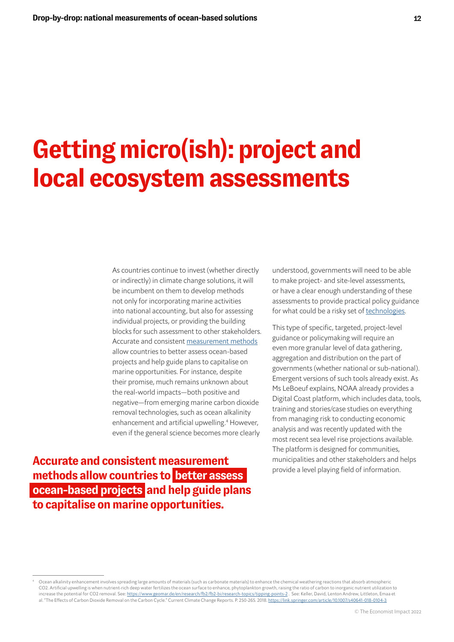# **Getting micro(ish): project and local ecosystem assessments**

As countries continue to invest (whether directly or indirectly) in climate change solutions, it will be incumbent on them to develop methods not only for incorporating marine activities into national accounting, but also for assessing individual projects, or providing the building blocks for such assessment to other stakeholders. Accurate and consistent [measurement methods](https://cbe.miis.edu/cgi/viewcontent.cgi?article=1061&context=joce) allow countries to better assess ocean-based projects and help guide plans to capitalise on marine opportunities. For instance, despite their promise, much remains unknown about the real-world impacts—both positive and negative—from emerging marine carbon dioxide removal technologies, such as ocean alkalinity enhancement and artificial upwelling.<sup>4</sup> However, even if the general science becomes more clearly

**Accurate and consistent measurement methods allow countries to better assess ocean-based projects and help guide plans to capitalise on marine opportunities.**

understood, governments will need to be able to make project- and site-level assessments, or have a clear enough understanding of these assessments to provide practical policy guidance for what could be a risky set of [technologies.](https://www.aspeninstitute.org/wp-content/uploads/files/content/docs/pubs/120721_Ocean-Based-CO2-Removal_E.pdf)

This type of specific, targeted, project-level guidance or policymaking will require an even more granular level of data gathering, aggregation and distribution on the part of governments (whether national or sub-national). Emergent versions of such tools already exist. As Ms LeBoeuf explains, NOAA already provides a Digital Coast platform, which includes data, tools, training and stories/case studies on everything from managing risk to conducting economic analysis and was recently updated with the most recent sea level rise projections available. The platform is designed for communities, municipalities and other stakeholders and helps provide a level playing field of information.

Ocean alkalinity enhancement involves spreading large amounts of materials (such as carbonate materials) to enhance the chemical weathering reactions that absorb atmospheric CO2. Artificial upwelling is when nutrient-rich deep water fertilizes the ocean surface to enhance, phytoplankton growth, raising the ratio of carbon to inorganic nutrient utilization to increase the potential for CO2 removal. See: <https://www.geomar.de/en/research/fb2/fb2-bi/research-topics/tipping-points-2> . See: Keller, David, Lenton Andrew, Littleton, Emaa et al. "The Effects of Carbon Dioxide Removal on the Carbon Cycle." Current Climate Change Reports. P. 250-265. 2018. <https://link.springer.com/article/10.1007/s40641-018-0104-3>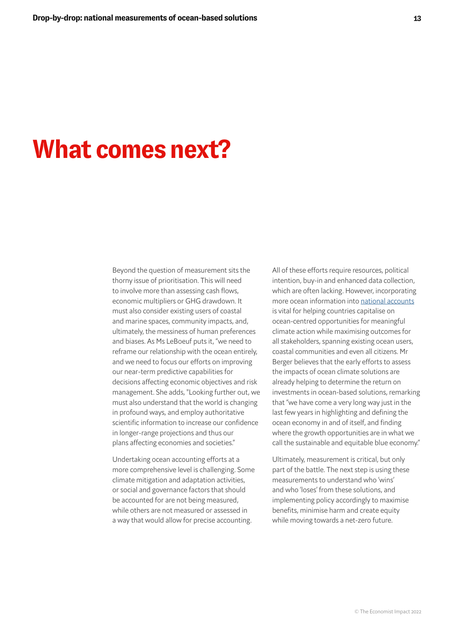# **What comes next?**

Beyond the question of measurement sits the thorny issue of prioritisation. This will need to involve more than assessing cash flows, economic multipliers or GHG drawdown. It must also consider existing users of coastal and marine spaces, community impacts, and, ultimately, the messiness of human preferences and biases. As Ms LeBoeuf puts it, "we need to reframe our relationship with the ocean entirely, and we need to focus our efforts on improving our near-term predictive capabilities for decisions affecting economic objectives and risk management. She adds, "Looking further out, we must also understand that the world is changing in profound ways, and employ authoritative scientific information to increase our confidence in longer-range projections and thus our plans affecting economies and societies."

Undertaking ocean accounting efforts at a more comprehensive level is challenging. Some climate mitigation and adaptation activities, or social and governance factors that should be accounted for are not being measured, while others are not measured or assessed in a way that would allow for precise accounting.

All of these efforts require resources, political intention, buy-in and enhanced data collection, which are often lacking. However, incorporating more ocean information into [national accounts](https://oceanpanel.org/sites/default/files/2020-07/National%20Accounting%20for%20the%20Ocean%20and%20Ocean%20Economy%20Summary%20Final.pd) is vital for helping countries capitalise on ocean-centred opportunities for meaningful climate action while maximising outcomes for all stakeholders, spanning existing ocean users, coastal communities and even all citizens. Mr Berger believes that the early efforts to assess the impacts of ocean climate solutions are already helping to determine the return on investments in ocean-based solutions, remarking that "we have come a very long way just in the last few years in highlighting and defining the ocean economy in and of itself, and finding where the growth opportunities are in what we call the sustainable and equitable blue economy."

Ultimately, measurement is critical, but only part of the battle. The next step is using these measurements to understand who 'wins' and who 'loses' from these solutions, and implementing policy accordingly to maximise benefits, minimise harm and create equity while moving towards a net-zero future.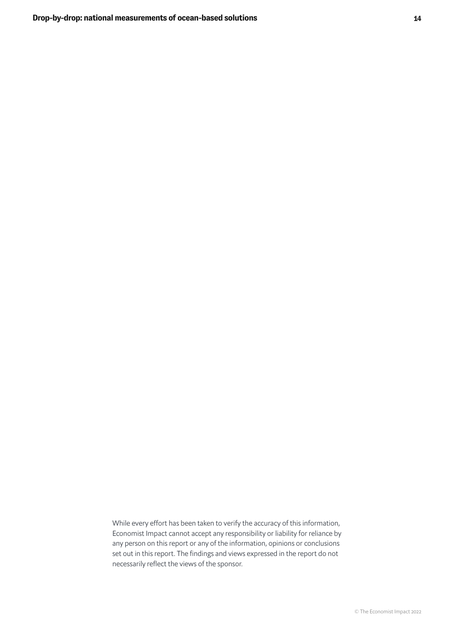While every effort has been taken to verify the accuracy of this information, Economist Impact cannot accept any responsibility or liability for reliance by any person on this report or any of the information, opinions or conclusions set out in this report. The findings and views expressed in the report do not necessarily reflect the views of the sponsor.